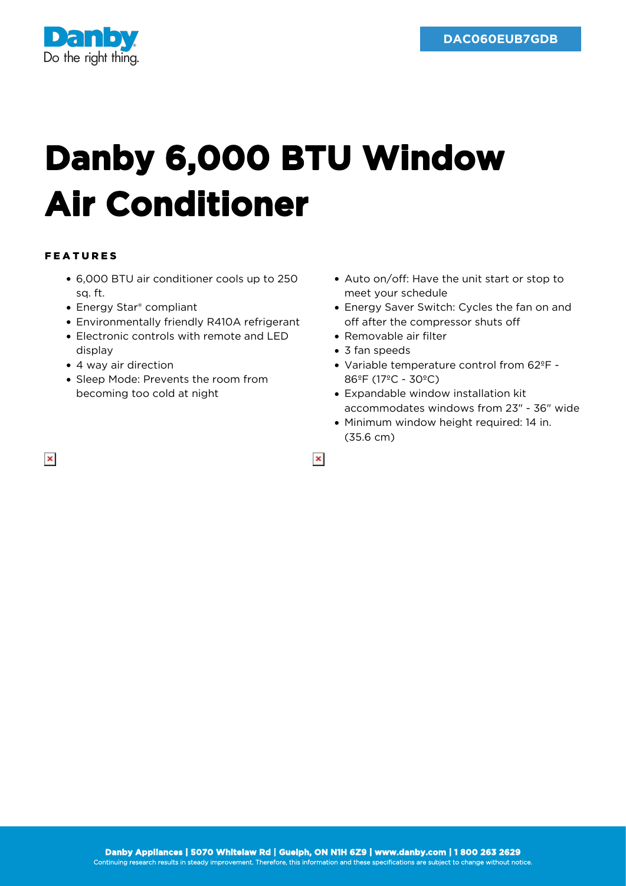

## **Danby 6,000 BTU Window Air Conditioner**

## FEATURES

- 6,000 BTU air conditioner cools up to 250 sq. ft.
- Energy Star<sup>®</sup> compliant
- Environmentally friendly R410A refrigerant
- Electronic controls with remote and LED display
- 4 way air direction
- Sleep Mode: Prevents the room from becoming too cold at night
- Auto on/off: Have the unit start or stop to meet your schedule
- Energy Saver Switch: Cycles the fan on and off after the compressor shuts off
- Removable air filter
- 3 fan speeds

 $\pmb{\times}$ 

- Variable temperature control from 62ºF 86ºF (17ºC - 30ºC)
- Expandable window installation kit accommodates windows from 23" - 36" wide
- Minimum window height required: 14 in. (35.6 cm)